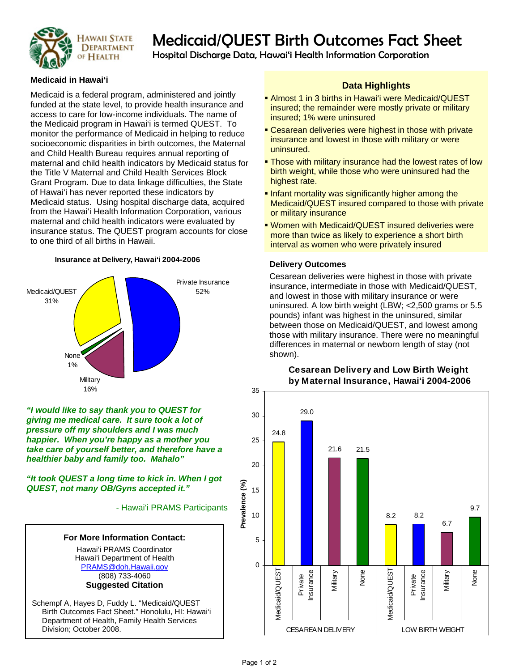

# HAWAII STATE Medicaid/QUEST Birth Outcomes Fact Sheet<br>Of HEALTH Hospital Discharge Data, Hawai'i Health Information Corporation

## **Medicaid in Hawai'i**

Medicaid is a federal program, administered and jointly funded at the state level, to provide health insurance and access to care for low-income individuals. The name of the Medicaid program in Hawai'i is termed QUEST. To monitor the performance of Medicaid in helping to reduce socioeconomic disparities in birth outcomes, the Maternal and Child Health Bureau requires annual reporting of maternal and child health indicators by Medicaid status for the Title V Maternal and Child Health Services Block Grant Program. Due to data linkage difficulties, the State of Hawai'i has never reported these indicators by Medicaid status. Using hospital discharge data, acquired from the Hawai'i Health Information Corporation, various maternal and child health indicators were evaluated by insurance status. The QUEST program accounts for close to one third of all births in Hawaii.

#### **Insurance at Delivery, Hawai'i 2004-2006**



*"I would like to say thank you to QUEST for giving me medical care. It sure took a lot of pressure off my shoulders and I was much happier. When you're happy as a mother you take care of yourself better, and therefore have a healthier baby and family too. Mahalo"* 

*"It took QUEST a long time to kick in. When I got QUEST, not many OB/Gyns accepted it."* 

- Hawai'i PRAMS Participants



Division; October 2008.

**Data Highlights** 

- **Almost 1 in 3 births in Hawai'i were Medicaid/QUEST** insured; the remainder were mostly private or military insured; 1% were uninsured
- **Cesarean deliveries were highest in those with private** insurance and lowest in those with military or were uninsured.
- **Those with military insurance had the lowest rates of low** birth weight, while those who were uninsured had the highest rate.
- **Infant mortality was significantly higher among the** Medicaid/QUEST insured compared to those with private or military insurance
- Women with Medicaid/QUEST insured deliveries were more than twice as likely to experience a short birth interval as women who were privately insured

## **Delivery Outcomes**

Cesarean deliveries were highest in those with private insurance, intermediate in those with Medicaid/QUEST, and lowest in those with military insurance or were uninsured. A low birth weight (LBW; <2,500 grams or 5.5 pounds) infant was highest in the uninsured, similar between those on Medicaid/QUEST, and lowest among those with military insurance. There were no meaningful differences in maternal or newborn length of stay (not shown).



# **Cesarean Delivery and Low Birth Weight by Maternal Insurance, Hawai'i 2004-2006**

**Prevalence (%)**

Prevalence (%)